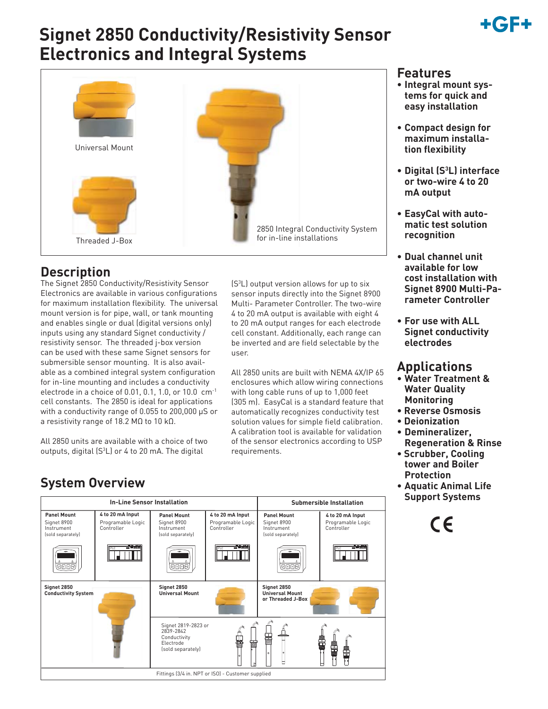# +GF+

## **Signet 2850 Conductivity/Resistivity Sensor Electronics and Integral Systems**



### **Description**

The Signet 2850 Conductivity/Resistivity Sensor Electronics are available in various configurations for maximum installation flexibility. The universal mount version is for pipe, wall, or tank mounting and enables single or dual (digital versions only) inputs using any standard Signet conductivity / resistivity sensor. The threaded j-box version can be used with these same Signet sensors for submersible sensor mounting. It is also available as a combined integral system configuration for in-line mounting and includes a conductivity electrode in a choice of 0.01, 0.1, 1.0, or 10.0 cm-1 cell constants. The 2850 is ideal for applications with a conductivity range of 0.055 to 200,000 μS or a resistivity range of 18.2 MΩ to 10 kΩ.

All 2850 units are available with a choice of two outputs, digital  $(S^3L)$  or 4 to 20 mA. The digital

(S3 L) output version allows for up to six sensor inputs directly into the Signet 8900 Multi- Parameter Controller. The two-wire 4 to 20 mA output is available with eight 4 to 20 mA output ranges for each electrode cell constant. Additionally, each range can be inverted and are field selectable by the user.

All 2850 units are built with NEMA 4X/IP 65 enclosures which allow wiring connections with long cable runs of up to 1,000 feet (305 m). EasyCal is a standard feature that automatically recognizes conductivity test solution values for simple field calibration. A calibration tool is available for validation of the sensor electronics according to USP requirements.

### **Features**

- **Integral mount systems for quick and easy installation**
- **Compact design for maximum installation flexibility**
- **Digital (S3 L) interface or two-wire 4 to 20 mA output**
- **EasyCal with automatic test solution recognition**
- **Dual channel unit available for low cost installation with Signet 8900 Multi-Parameter Controller**
- **For use with ALL Signet conductivity electrodes**

### **Applications**

- **Water Treatment & Water Quality Monitoring**
- **Reverse Osmosis**
- **Deionization**
- **Demineralizer, Regeneration & Rinse**
- **Scrubber, Cooling tower and Boiler Protection**
- **Aquatic Animal Life Support Systems**

 $\epsilon$ 



### **System Overview**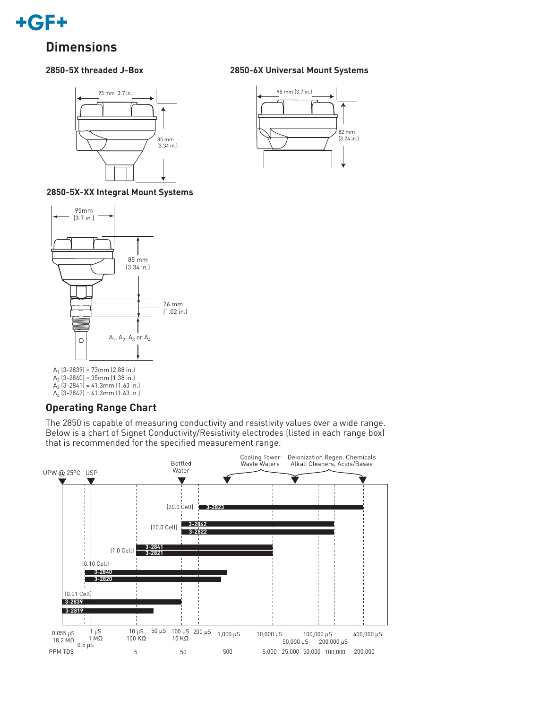

### **Dimensions**

#### **2850-5X threaded J-Box**



**2850-5X-XX Integral Mount Systems**



#### **Operating Range Chart**

The 2850 is capable of measuring conductivity and resistivity values over a wide range. Below is a chart of Signet Conductivity/Resistivity electrodes (listed in each range box) that is recommended for the specified measurement range.



#### **2850-6X Universal Mount Systems**

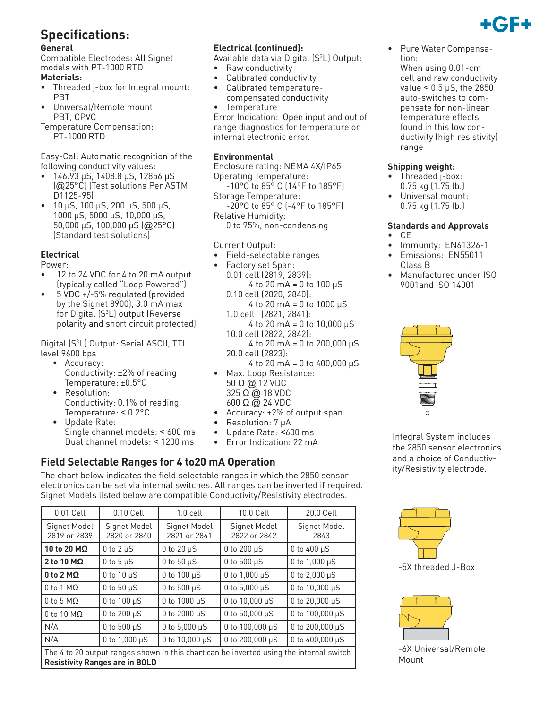### **Specifications:**

#### **General**

Compatible Electrodes: All Signet models with PT-1000 RTD

- **Materials:**
- Threaded j-box for Integral mount: PBT
- Universal/Remote mount: PBT, CPVC

Temperature Compensation: PT-1000 RTD

Easy-Cal: Automatic recognition of the following conductivity values:

- 146.93 μS, 1408.8 μS, 12856 μS (@25°C) (Test solutions Per ASTM D1125-95)
- 10 μS, 100 μS, 200 μS, 500 μS, 1000 μS, 5000 μS, 10,000 μS, 50,000 μS, 100,000 μS (@25°C) (Standard test solutions)

#### **Electrical**

#### Power:

- 12 to 24 VDC for 4 to 20 mA output (typically called "Loop Powered")
- 5 VDC +/-5% regulated (provided by the Signet 8900), 3.0 mA max for Digital (S3 L) output (Reverse polarity and short circuit protected)

Digital (S3 L) Output: Serial ASCII, TTL level 9600 bps

- Accuracy: Conductivity: ±2% of reading Temperature: ±0.5°C
- Resolution: Conductivity: 0.1% of reading Temperature: < 0.2°C
- Update Rate: Single channel models: < 600 ms Dual channel models: < 1200 ms

#### **Electrical (continued):**

Available data via Digital (S<sup>3</sup>L) Output:

- Raw conductivity
- Calibrated conductivity
- Calibrated temperaturecompensated conductivity **Temperature**

Error Indication: Open input and out of range diagnostics for temperature or internal electronic error.

#### **Environmental**

Enclosure rating: NEMA 4X/IP65 Operating Temperature:

 -10°C to 85° C (14°F to 185°F) Storage Temperature:

 -20°C to 85° C (-4°F to 185°F) Relative Humidity:

0 to 95%, non-condensing

#### Current Output:

- Field-selectable ranges
- Factory set Span: 0.01 cell (2819, 2839):  $4$  to 20 mA = 0 to 100  $\mu$ S 0.10 cell (2820, 2840): 4 to 20 mA = 0 to 1000 μS
	- 1.0 cell (2821, 2841):  $4$  to 20 mA = 0 to 10,000  $\mu$ S 10.0 cell (2822, 2842):

4 to 20 mA = 0 to 200,000  $\mu$ S 20.0 cell (2823): 4 to 20 mA = 0 to 400,000 μS

- Max. Loop Resistance: 50 Ω @ 12 VDC 325 Ω @ 18 VDC 600 Ω @ 24 VDC
- Accuracy: ±2% of output span
- Resolution: 7 μA
- Update Rate: <600 ms
- Error Indication: 22 mA

#### **Field Selectable Ranges for 4 to20 mA Operation**

The chart below indicates the field selectable ranges in which the 2850 sensor electronics can be set via internal switches. All ranges can be inverted if required. Signet Models listed below are compatible Conductivity/Resistivity electrodes.

| 0.01 Cell                                                                                                                        | 0.10 Cell                    | $1.0$ cell                   | 10.0 Cell                    | 20.0 Cell            |  |  |
|----------------------------------------------------------------------------------------------------------------------------------|------------------------------|------------------------------|------------------------------|----------------------|--|--|
| Signet Model<br>2819 or 2839                                                                                                     | Signet Model<br>2820 or 2840 | Signet Model<br>2821 or 2841 | Signet Model<br>2822 or 2842 | Signet Model<br>2843 |  |  |
| 10 to 20 MΩ                                                                                                                      | $0$ to $2 \mu S$             | $0$ to $20 \mu S$            | 0 to 200 µS                  | $0$ to $400 \mu S$   |  |  |
| 2 to 10 $M\Omega$                                                                                                                | $0$ to $5 \mu S$             | 0 to $50 \mu S$              | 0 to 500 µS                  | 0 to $1,000 \,\mu S$ |  |  |
| $0$ to 2 M $\Omega$                                                                                                              | $0$ to $10 \mu S$            | 0 to $100 \mu S$             | 0 to $1,000 \,\mu S$         | 0 to $2,000 \mu S$   |  |  |
| $0$ to 1 M $\Omega$                                                                                                              | 0 to $50 \mu S$              | 0 to 500 $\mu$ S             | 0 to 5,000 $\mu$ S           | 0 to 10,000 µS       |  |  |
| $0$ to 5 M $\Omega$                                                                                                              | 0 to $100 \mu S$             | 0 to 1000 µS                 | 0 to $10,000 \,\mu S$        | 0 to 20,000 µS       |  |  |
| $0$ to 10 M $\Omega$                                                                                                             | 0 to 200 $\mu$ S             | 0 to 2000 µS                 | 0 to 50,000 $\mu$ S          | 0 to 100,000 µS      |  |  |
| N/A                                                                                                                              | 0 to 500 $\mu$ S             | 0 to 5,000 $\mu$ S           | 0 to $100,000 \mu S$         | 0 to 200,000 µS      |  |  |
| N/A                                                                                                                              | 0 to $1,000 \mu S$           | 0 to $10,000 \,\mu S$        | 0 to 200,000 µS              | 0 to 400,000 µS      |  |  |
| The 4 to 20 output ranges shown in this chart can be inverted using the internal switch<br><b>Resistivity Ranges are in BOLD</b> |                              |                              |                              |                      |  |  |

• Pure Water Compensation: When using 0.01-cm cell and raw conductivity value < 0.5 μS, the 2850 auto-switches to compensate for non-linear temperature effects found in this low conductivity (high resistivity) range

#### **Shipping weight:**

- Threaded j-box: 0.75 kg (1.75 lb.)
- Universal mount: 0.75 kg (1.75 lb.)

#### **Standards and Approvals**

- CE
- Immunity: EN61326-1
- Emissions: EN55011 Class B
- Manufactured under ISO 9001and ISO 14001



Integral System includes the 2850 sensor electronics and a choice of Conductivity/Resistivity electrode.





-6X Universal/Remote Mount